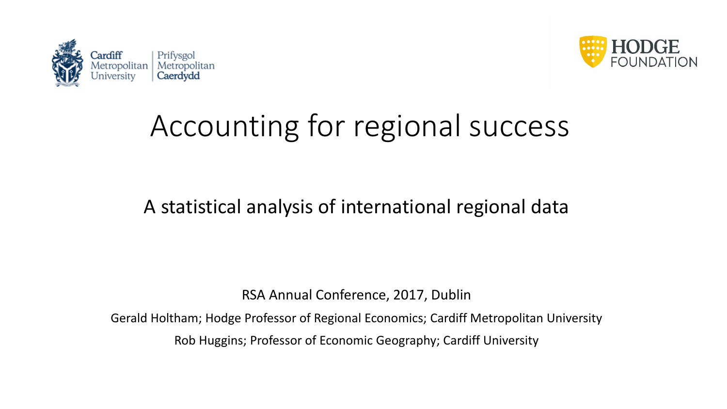



# Accounting for regional success

### A statistical analysis of international regional data

RSA Annual Conference, 2017, Dublin

Gerald Holtham; Hodge Professor of Regional Economics; Cardiff Metropolitan University

Rob Huggins; Professor of Economic Geography; Cardiff University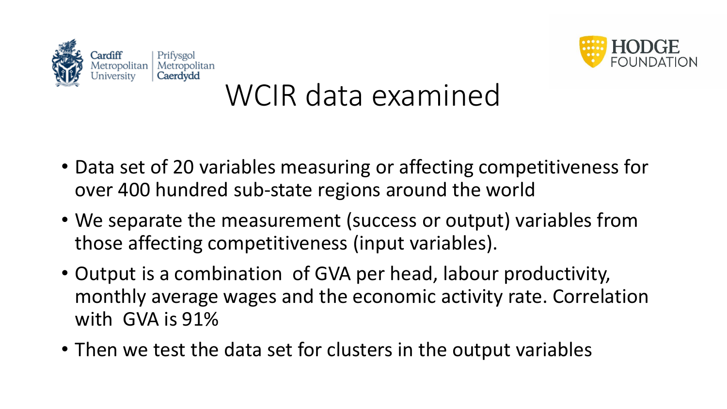



# WCIR data examined

- Data set of 20 variables measuring or affecting competitiveness for over 400 hundred sub-state regions around the world
- We separate the measurement (success or output) variables from those affecting competitiveness (input variables).
- Output is a combination of GVA per head, labour productivity, monthly average wages and the economic activity rate. Correlation with GVA is 91%
- Then we test the data set for clusters in the output variables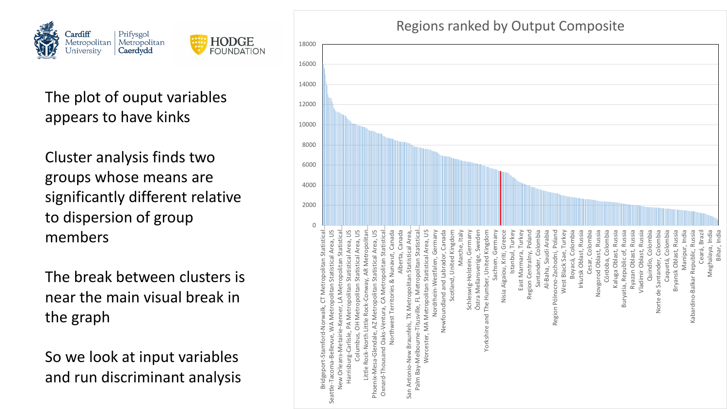



### The plot of ouput variables appears to have kinks

Cluster analysis finds two groups whose means are significantly different relative to dispersion of group members

The break between clusters is near the main visual break in the graph

So we look at input variables and run discriminant analysis

#### Regions ranked by Output Composite

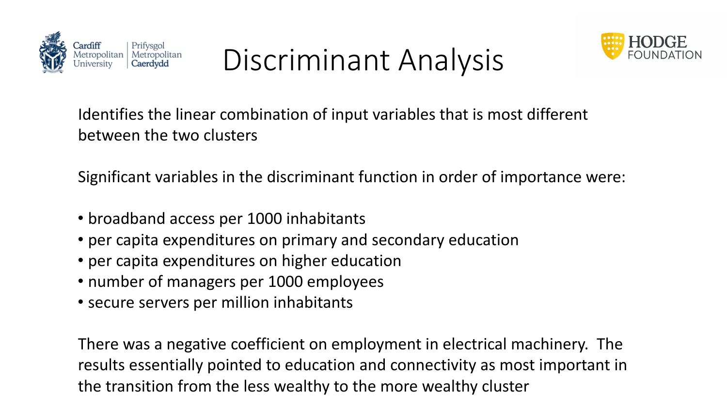

Discriminant Analysis



Identifies the linear combination of input variables that is most different between the two clusters

Significant variables in the discriminant function in order of importance were:

- broadband access per 1000 inhabitants
- per capita expenditures on primary and secondary education
- per capita expenditures on higher education
- number of managers per 1000 employees
- secure servers per million inhabitants

There was a negative coefficient on employment in electrical machinery. The results essentially pointed to education and connectivity as most important in the transition from the less wealthy to the more wealthy cluster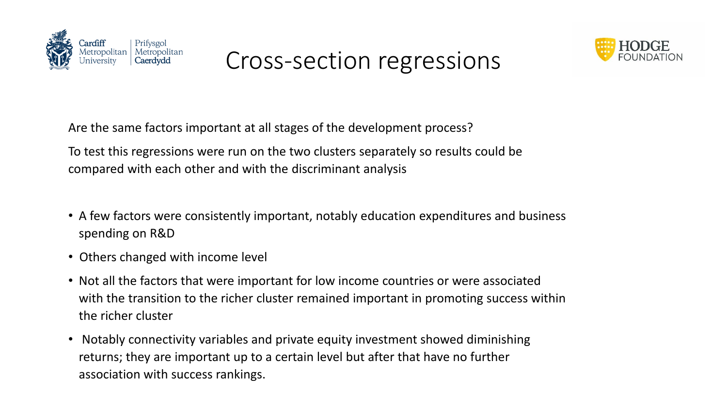

### Cross-section regressions



Are the same factors important at all stages of the development process?

To test this regressions were run on the two clusters separately so results could be compared with each other and with the discriminant analysis

- A few factors were consistently important, notably education expenditures and business spending on R&D
- Others changed with income level
- Not all the factors that were important for low income countries or were associated with the transition to the richer cluster remained important in promoting success within the richer cluster
- Notably connectivity variables and private equity investment showed diminishing returns; they are important up to a certain level but after that have no further association with success rankings.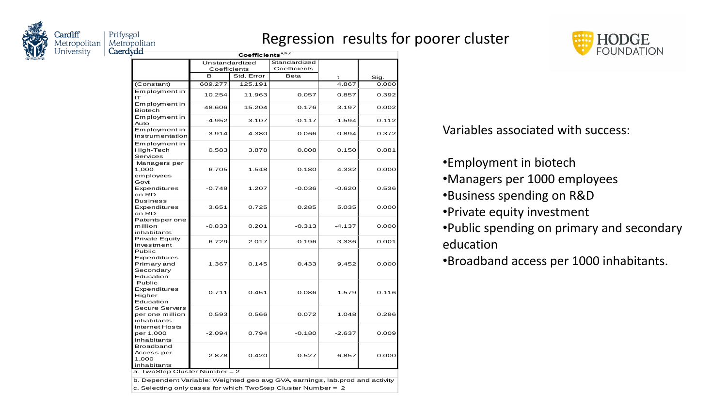

#### Regression results for poorer cluster



| yuu                                                                              |              | Coefficients <sup>a,b,c</sup> |              |          |       |
|----------------------------------------------------------------------------------|--------------|-------------------------------|--------------|----------|-------|
|                                                                                  |              | Unstandardized                | Standardized |          |       |
|                                                                                  | Coefficients |                               | Coefficients |          |       |
|                                                                                  | в            | Std. Error                    | <b>Beta</b>  | t        | Sig.  |
| (Constant)                                                                       | 609.277      | 125.191                       |              | 4.867    | 0.000 |
| Employment in<br>ıΤ                                                              | 10.254       | 11.963                        | 0.057        | 0.857    | 0.392 |
| Employment in<br><b>Biotech</b>                                                  | 48.606       | 15.204                        | 0.176        | 3.197    | 0.002 |
| Employment in<br>Auto                                                            | -4.952       | 3.107                         | $-0.117$     | $-1.594$ | 0.112 |
| Employment in<br>Instrumentation                                                 | $-3.914$     | 4.380                         | $-0.066$     | $-0.894$ | 0.372 |
| Employment in<br>High-Tech<br>Services                                           | 0.583        | 3.878                         | 0.008        | 0.150    | 0.881 |
| Managers per<br>1,000<br>employees                                               | 6.705        | 1.548                         | 0.180        | 4.332    | 0.000 |
| Govt<br>Expenditures<br>on RD                                                    | $-0.749$     | 1.207                         | $-0.036$     | $-0.620$ | 0.536 |
| <b>Business</b><br>Expenditures<br>on RD                                         | 3.651        | 0.725                         | 0.285        | 5.035    | 0.000 |
| Patentsper one<br>million<br>inhabitants                                         | $-0.833$     | 0.201                         | $-0.313$     | $-4.137$ | 0.000 |
| <b>Private Equity</b><br>Investment                                              | 6.729        | 2.017                         | 0.196        | 3.336    | 0.001 |
| Public<br>Expenditures<br>Primary and<br>Secondary<br>Education                  | 1.367        | 0.145                         | 0.433        | 9.452    | 0.000 |
| Public<br>Expenditures<br>Higher<br>Education                                    | 0.711        | 0.451                         | 0.086        | 1.579    | 0.116 |
| <b>Secure Servers</b><br>per one million<br>inhabitants                          | 0.593        | 0.566                         | 0.072        | 1.048    | 0.296 |
| <b>Internet Hosts</b><br>per 1,000<br>inhabitants                                | $-2.094$     | 0.794                         | $-0.180$     | $-2.637$ | 0.009 |
| Broadband<br>Access per<br>1,000<br>inhabitants<br>a. TwoStep Cluster Number = 2 | 2.878        | 0.420                         | 0.527        | 6.857    | 0.000 |

 $\vert$ b. Dependent Variable: Weighted geo avg GVA, earnings, lab.prod and activity

c. Selecting only cases for which TwoStep Cluster Number = 2

Variables associated with success:

- •Employment in biotech
- •Managers per 1000 employees
- •Business spending on R&D
- •Private equity investment
- •Public spending on primary and secondary education
- •Broadband access per 1000 inhabitants.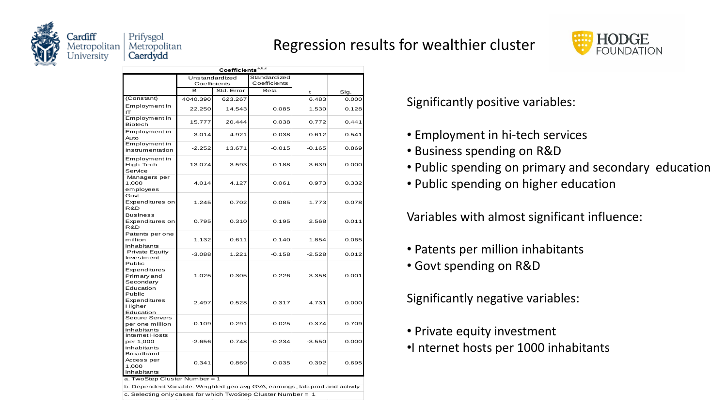

#### Regression results for wealthier cluster



| Coefficients <sup>a,b,c</sup>                                   |              |                |              |          |       |  |  |  |  |
|-----------------------------------------------------------------|--------------|----------------|--------------|----------|-------|--|--|--|--|
|                                                                 |              | Unstandardized | Standardized |          |       |  |  |  |  |
|                                                                 | Coefficients |                | Coefficients |          |       |  |  |  |  |
|                                                                 | <sub>R</sub> | Std. Error     | Beta         | t        | Sig.  |  |  |  |  |
| (Constant)                                                      | 4040.390     | 623.267        |              | 6.483    | 0.000 |  |  |  |  |
| Employment in<br>IΤ                                             | 22.250       | 14.543         | 0.085        | 1.530    | 0.128 |  |  |  |  |
| Employment in<br><b>Biotech</b>                                 | 15.777       | 20.444         | 0.038        | 0.772    | 0.441 |  |  |  |  |
| Employment in<br>Auto                                           | $-3.014$     | 4.921          | $-0.038$     | $-0.612$ | 0.541 |  |  |  |  |
| Employment in<br>Instrumentation                                | $-2.252$     | 13.671         | $-0.015$     | $-0.165$ | 0.869 |  |  |  |  |
| Employment in<br>High-Tech<br>Service                           | 13.074       | 3.593          | 0.188        | 3.639    | 0.000 |  |  |  |  |
| Managers per<br>1,000<br>employees                              | 4.014        | 4.127          | 0.061        | 0.973    | 0.332 |  |  |  |  |
| Govt<br>Expenditures on<br>R&D                                  | 1.245        | 0.702          | 0.085        | 1.773    | 0.078 |  |  |  |  |
| <b>Business</b><br>Expenditures on<br>R&D                       | 0.795        | 0.310          | 0.195        | 2.568    | 0.011 |  |  |  |  |
| Patents per one<br>million<br>inhabitants                       | 1.132        | 0.611          | 0.140        | 1.854    | 0.065 |  |  |  |  |
| Private Equity<br>Investment                                    | $-3.088$     | 1.221          | $-0.158$     | $-2.528$ | 0.012 |  |  |  |  |
| Public<br>Expenditures<br>Primary and<br>Secondary<br>Education | 1.025        | 0.305          | 0.226        | 3.358    | 0.001 |  |  |  |  |
| Public<br>Expenditures<br>Higher<br>Education                   | 2.497        | 0.528          | 0.317        | 4.731    | 0.000 |  |  |  |  |
| Secure Servers<br>per one million<br>inhabitants                | $-0.109$     | 0.291          | $-0.025$     | $-0.374$ | 0.709 |  |  |  |  |
| Internet Hosts<br>per 1,000<br>inhabitants                      | $-2.656$     | 0.748          | $-0.234$     | $-3.550$ | 0.000 |  |  |  |  |
| Broadband<br>Access per<br>1.000<br>inhabitants                 | 0.341        | 0.869          | 0.035        | 0.392    | 0.695 |  |  |  |  |

a. TwoStep Cluster Number = 1

c. Selecting only cases for which TwoStep Cluster Number =  $1$ b. Dependent Variable: Weighted geo avg GVA, earnings, lab.prod and activity Significantly positive variables:

- Employment in hi-tech services
- Business spending on R&D
- Public spending on primary and secondary education
- Public spending on higher education

Variables with almost significant influence:

- Patents per million inhabitants
- Govt spending on R&D

Significantly negative variables:

• Private equity investment •I nternet hosts per 1000 inhabitants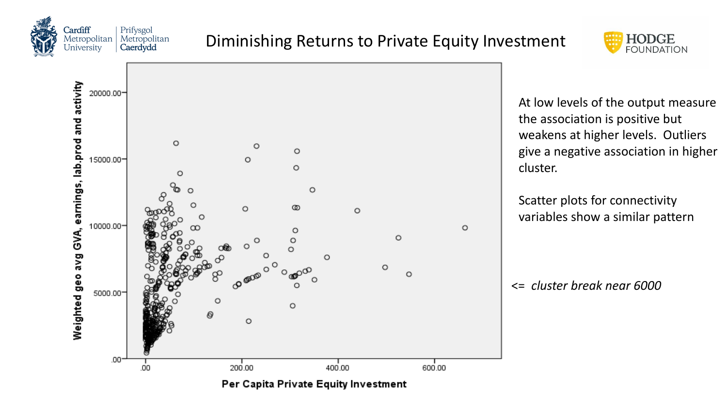





At low levels of the output measure the association is positive but weakens at higher levels. Outliers give a negative association in higher cluster.

Scatter plots for connectivity variables show a similar pattern

<= *cluster break near 6000*